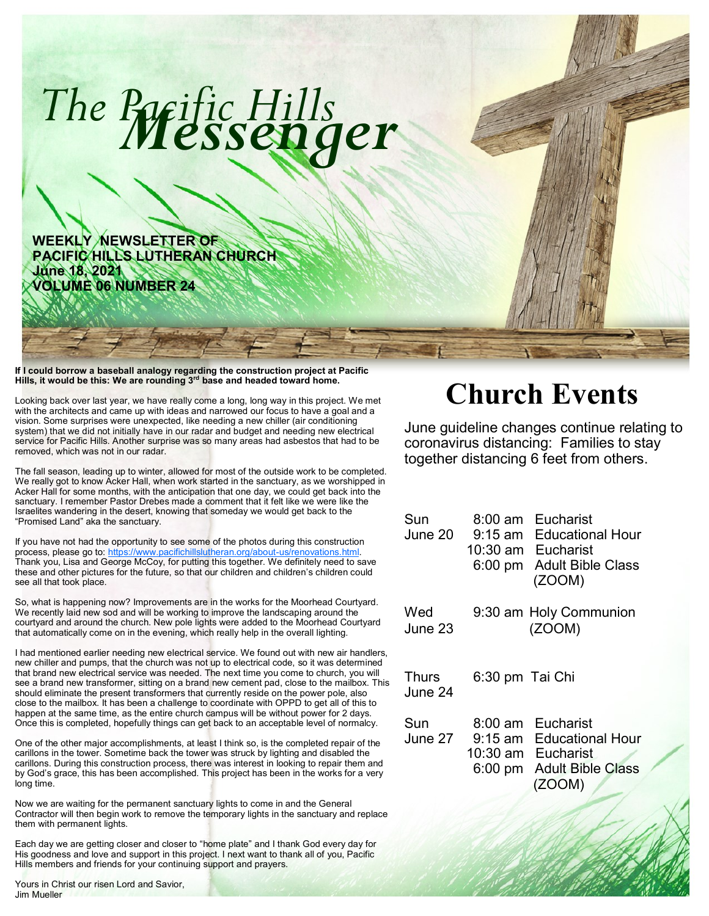

**Hills, it would be this: We are rounding 3rd base and headed toward home.**

Looking back over last year, we have really come a long, long way in this project. We met with the architects and came up with ideas and narrowed our focus to have a goal and a vision. Some surprises were unexpected, like needing a new chiller (air conditioning system) that we did not initially have in our radar and budget and needing new electrical service for Pacific Hills. Another surprise was so many areas had asbestos that had to be removed, which was not in our radar.

The fall season, leading up to winter, allowed for most of the outside work to be completed. We really got to know Acker Hall, when work started in the sanctuary, as we worshipped in Acker Hall for some months, with the anticipation that one day, we could get back into the sanctuary. I remember Pastor Drebes made a comment that it felt like we were like the Israelites wandering in the desert, knowing that someday we would get back to the "Promised Land" aka the sanctuary.

If you have not had the opportunity to see some of the photos during this construction process, please go to: [https://www.pacifichillslutheran.org/about](https://www.pacifichillslutheran.org/about-us/renovations.html)-us/renovations.html. Thank you, Lisa and George McCoy, for putting this together. We definitely need to save these and other pictures for the future, so that our children and children's children could see all that took place.

So, what is happening now? Improvements are in the works for the Moorhead Courtyard. We recently laid new sod and will be working to improve the landscaping around the courtyard and around the church. New pole lights were added to the Moorhead Courtyard that automatically come on in the evening, which really help in the overall lighting.

I had mentioned earlier needing new electrical service. We found out with new air handlers, new chiller and pumps, that the church was not up to electrical code, so it was determined that brand new electrical service was needed. The next time you come to church, you will see a brand new transformer, sitting on a brand new cement pad, close to the mailbox. This should eliminate the present transformers that currently reside on the power pole, also close to the mailbox. It has been a challenge to coordinate with OPPD to get all of this to happen at the same time, as the entire church campus will be without power for 2 days. Once this is completed, hopefully things can get back to an acceptable level of normalcy.

One of the other major accomplishments, at least I think so, is the completed repair of the carillons in the tower. Sometime back the tower was struck by lighting and disabled the carillons. During this construction process, there was interest in looking to repair them and by God's grace, this has been accomplished. This project has been in the works for a very long time.

Now we are waiting for the permanent sanctuary lights to come in and the General Contractor will then begin work to remove the temporary lights in the sanctuary and replace them with permanent lights.

Each day we are getting closer and closer to "home plate" and I thank God every day for His goodness and love and support in this project. I next want to thank all of you, Pacific Hills members and friends for your continuing support and prayers.

## **Church Events**

June guideline changes continue relating to coronavirus distancing: Families to stay together distancing 6 feet from others.

| Sun<br>June 20.  | Eucharist<br>8:00 am<br>9:15 am Educational Hour<br>10:30 am Eucharist<br><b>Adult Bible Class</b><br>6:00 pm<br>(ZOOM)              |
|------------------|--------------------------------------------------------------------------------------------------------------------------------------|
| Wed<br>June 23.  | 9:30 am Holy Communion<br>(ZOOM)                                                                                                     |
| Thurs<br>June 24 | 6:30 pm Tai Chi                                                                                                                      |
| Sun<br>June 27   | Eucharist<br>8:00 am<br>9:15 am<br><b>Educational Hour</b><br>10:30 am<br>Eucharist<br><b>Adult Bible Class</b><br>6:00 pm<br>(ZOOM) |
|                  |                                                                                                                                      |

Yours in Christ our risen Lord and Savior, Jim Mueller